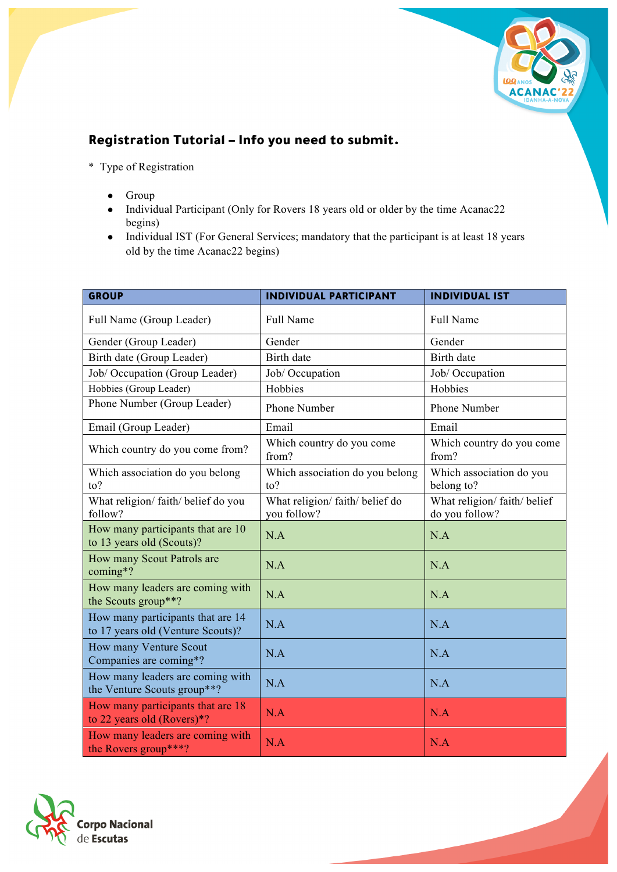

## Registration Tutorial – Info you need to submit.

- \* Type of Registration
	- Group
	- Individual Participant (Only for Rovers 18 years old or older by the time Acanac22 begins)
	- Individual IST (For General Services; mandatory that the participant is at least 18 years old by the time Acanac22 begins)

| <b>GROUP</b>                                                           | <b>INDIVIDUAL PARTICIPANT</b>                | <b>INDIVIDUAL IST</b>                        |
|------------------------------------------------------------------------|----------------------------------------------|----------------------------------------------|
| Full Name (Group Leader)                                               | Full Name                                    | Full Name                                    |
| Gender (Group Leader)                                                  | Gender                                       | Gender                                       |
| Birth date (Group Leader)                                              | <b>Birth</b> date                            | <b>Birth</b> date                            |
| Job/ Occupation (Group Leader)                                         | Job/ Occupation                              | Job/ Occupation                              |
| Hobbies (Group Leader)                                                 | Hobbies                                      | Hobbies                                      |
| Phone Number (Group Leader)                                            | Phone Number                                 | Phone Number                                 |
| Email (Group Leader)                                                   | Email                                        | Email                                        |
| Which country do you come from?                                        | Which country do you come<br>from?           | Which country do you come<br>from?           |
| Which association do you belong<br>to?                                 | Which association do you belong<br>to?       | Which association do you<br>belong to?       |
| What religion/faith/belief do you<br>follow?                           | What religion/faith/belief do<br>you follow? | What religion/faith/belief<br>do you follow? |
| How many participants that are 10<br>to 13 years old (Scouts)?         | N.A                                          | N.A                                          |
| How many Scout Patrols are<br>coming*?                                 | N.A                                          | N.A                                          |
| How many leaders are coming with<br>the Scouts group**?                | N.A                                          | N.A                                          |
| How many participants that are 14<br>to 17 years old (Venture Scouts)? | N.A                                          | N.A                                          |
| How many Venture Scout<br>Companies are coming*?                       | N.A                                          | N.A                                          |
| How many leaders are coming with<br>the Venture Scouts group**?        | N.A                                          | N.A                                          |
| How many participants that are 18<br>to 22 years old (Rovers)*?        | N.A                                          | N.A                                          |
| How many leaders are coming with<br>the Rovers group***?               | N.A                                          | N.A                                          |